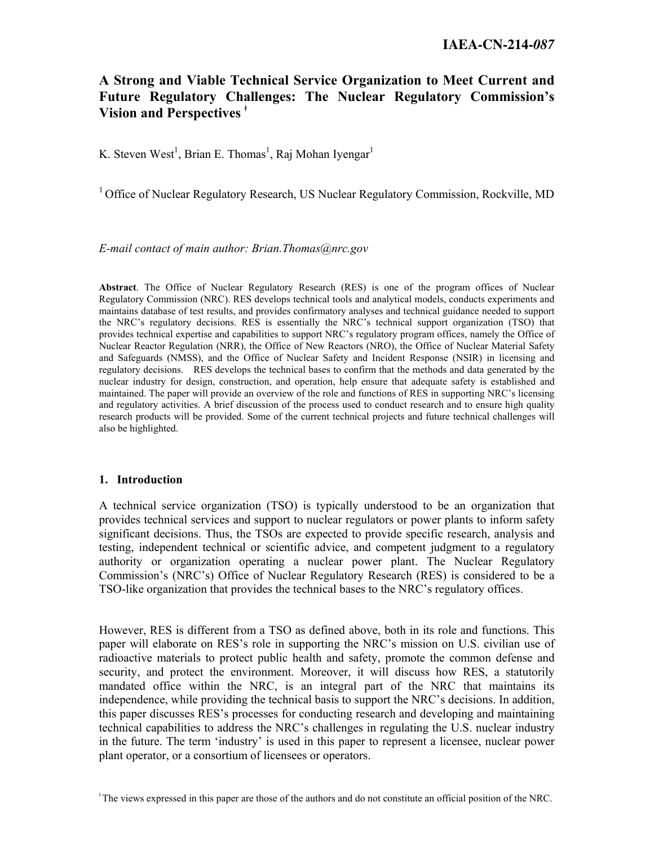# **A Strong and Viable Technical Service Organization to Meet Current and Future Regulatory Challenges: The Nuclear Regulatory Commission's Vision and Perspectives <sup>ǂ</sup>**

K. Steven West<sup>1</sup>, Brian E. Thomas<sup>1</sup>, Raj Mohan Iyengar<sup>1</sup>

<sup>1</sup> Office of Nuclear Regulatory Research, US Nuclear Regulatory Commission, Rockville, MD

*E-mail contact of main author: Brian.Thomas@nrc.gov* 

**Abstract**. The Office of Nuclear Regulatory Research (RES) is one of the program offices of Nuclear Regulatory Commission (NRC). RES develops technical tools and analytical models, conducts experiments and maintains database of test results, and provides confirmatory analyses and technical guidance needed to support the NRC's regulatory decisions. RES is essentially the NRC's technical support organization (TSO) that provides technical expertise and capabilities to support NRC's regulatory program offices, namely the Office of Nuclear Reactor Regulation (NRR), the Office of New Reactors (NRO), the Office of Nuclear Material Safety and Safeguards (NMSS), and the Office of Nuclear Safety and Incident Response (NSIR) in licensing and regulatory decisions. RES develops the technical bases to confirm that the methods and data generated by the nuclear industry for design, construction, and operation, help ensure that adequate safety is established and maintained. The paper will provide an overview of the role and functions of RES in supporting NRC's licensing and regulatory activities. A brief discussion of the process used to conduct research and to ensure high quality research products will be provided. Some of the current technical projects and future technical challenges will also be highlighted.

### **1. Introduction**

A technical service organization (TSO) is typically understood to be an organization that provides technical services and support to nuclear regulators or power plants to inform safety significant decisions. Thus, the TSOs are expected to provide specific research, analysis and testing, independent technical or scientific advice, and competent judgment to a regulatory authority or organization operating a nuclear power plant. The Nuclear Regulatory Commission's (NRC's) Office of Nuclear Regulatory Research (RES) is considered to be a TSO-like organization that provides the technical bases to the NRC's regulatory offices.

However, RES is different from a TSO as defined above, both in its role and functions. This paper will elaborate on RES's role in supporting the NRC's mission on U.S. civilian use of radioactive materials to protect public health and safety, promote the common defense and security, and protect the environment. Moreover, it will discuss how RES, a statutorily mandated office within the NRC, is an integral part of the NRC that maintains its independence, while providing the technical basis to support the NRC's decisions. In addition, this paper discusses RES's processes for conducting research and developing and maintaining technical capabilities to address the NRC's challenges in regulating the U.S. nuclear industry in the future. The term 'industry' is used in this paper to represent a licensee, nuclear power plant operator, or a consortium of licensees or operators.

ǂ The views expressed in this paper are those of the authors and do not constitute an official position of the NRC.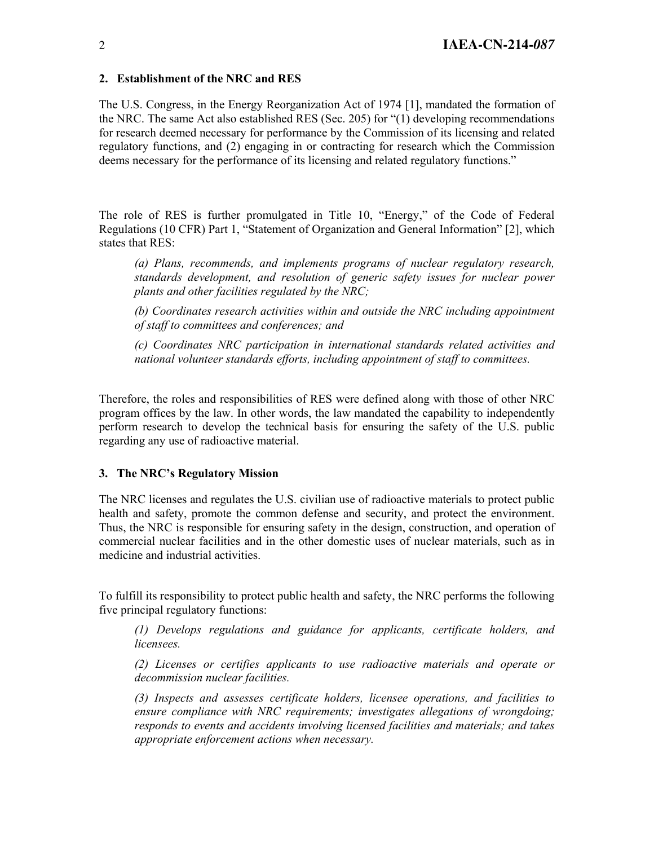## **2. Establishment of the NRC and RES**

The U.S. Congress, in the Energy Reorganization Act of 1974 [1], mandated the formation of the NRC. The same Act also established RES (Sec. 205) for "(1) developing recommendations for research deemed necessary for performance by the Commission of its licensing and related regulatory functions, and (2) engaging in or contracting for research which the Commission deems necessary for the performance of its licensing and related regulatory functions."

The role of RES is further promulgated in Title 10, "Energy," of the Code of Federal Regulations (10 CFR) Part 1, "Statement of Organization and General Information" [2], which states that RES:

*(a) Plans, recommends, and implements programs of nuclear regulatory research, standards development, and resolution of generic safety issues for nuclear power plants and other facilities regulated by the NRC;* 

*(b) Coordinates research activities within and outside the NRC including appointment of staff to committees and conferences; and* 

*(c) Coordinates NRC participation in international standards related activities and national volunteer standards efforts, including appointment of staff to committees.*

Therefore, the roles and responsibilities of RES were defined along with those of other NRC program offices by the law. In other words, the law mandated the capability to independently perform research to develop the technical basis for ensuring the safety of the U.S. public regarding any use of radioactive material.

### **3. The NRC's Regulatory Mission**

The NRC licenses and regulates the U.S. civilian use of radioactive materials to protect public health and safety, promote the common defense and security, and protect the environment. Thus, the NRC is responsible for ensuring safety in the design, construction, and operation of commercial nuclear facilities and in the other domestic uses of nuclear materials, such as in medicine and industrial activities.

To fulfill its responsibility to protect public health and safety, the NRC performs the following five principal regulatory functions:

*(1) Develops regulations and guidance for applicants, certificate holders, and licensees.* 

*(2) Licenses or certifies applicants to use radioactive materials and operate or decommission nuclear facilities.* 

*(3) Inspects and assesses certificate holders, licensee operations, and facilities to ensure compliance with NRC requirements; investigates allegations of wrongdoing; responds to events and accidents involving licensed facilities and materials; and takes appropriate enforcement actions when necessary.*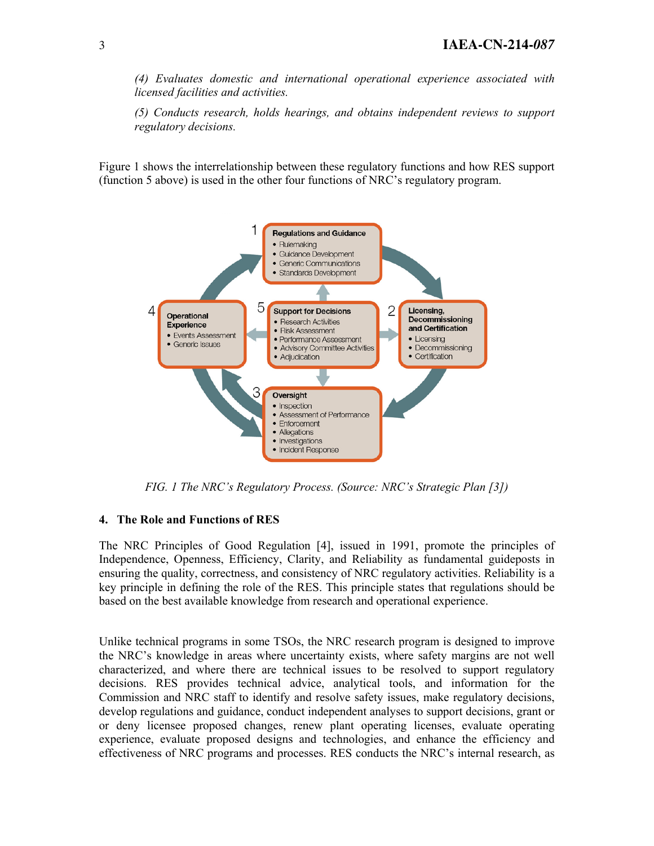*(4) Evaluates domestic and international operational experience associated with licensed facilities and activities.* 

*(5) Conducts research, holds hearings, and obtains independent reviews to support regulatory decisions.* 

Figure 1 shows the interrelationship between these regulatory functions and how RES support (function 5 above) is used in the other four functions of NRC's regulatory program.



*FIG. 1 The NRC's Regulatory Process. (Source: NRC's Strategic Plan [3])* 

#### **4. The Role and Functions of RES**

The NRC Principles of Good Regulation [4], issued in 1991, promote the principles of Independence, Openness, Efficiency, Clarity, and Reliability as fundamental guideposts in ensuring the quality, correctness, and consistency of NRC regulatory activities. Reliability is a key principle in defining the role of the RES. This principle states that regulations should be based on the best available knowledge from research and operational experience.

Unlike technical programs in some TSOs, the NRC research program is designed to improve the NRC's knowledge in areas where uncertainty exists, where safety margins are not well characterized, and where there are technical issues to be resolved to support regulatory decisions. RES provides technical advice, analytical tools, and information for the Commission and NRC staff to identify and resolve safety issues, make regulatory decisions, develop regulations and guidance, conduct independent analyses to support decisions, grant or or deny licensee proposed changes, renew plant operating licenses, evaluate operating experience, evaluate proposed designs and technologies, and enhance the efficiency and effectiveness of NRC programs and processes. RES conducts the NRC's internal research, as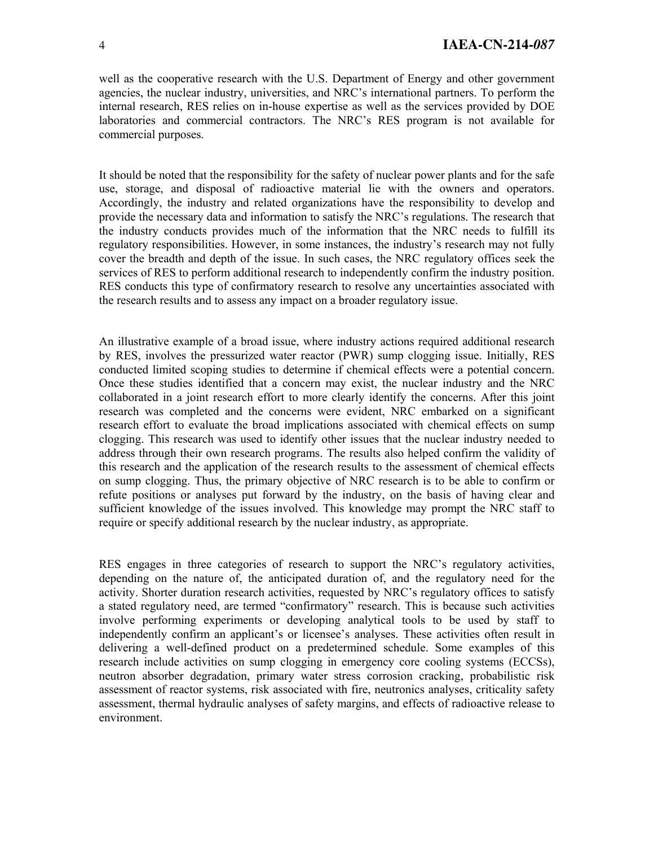well as the cooperative research with the U.S. Department of Energy and other government agencies, the nuclear industry, universities, and NRC's international partners. To perform the internal research, RES relies on in-house expertise as well as the services provided by DOE laboratories and commercial contractors. The NRC's RES program is not available for commercial purposes.

It should be noted that the responsibility for the safety of nuclear power plants and for the safe use, storage, and disposal of radioactive material lie with the owners and operators. Accordingly, the industry and related organizations have the responsibility to develop and provide the necessary data and information to satisfy the NRC's regulations. The research that the industry conducts provides much of the information that the NRC needs to fulfill its regulatory responsibilities. However, in some instances, the industry's research may not fully cover the breadth and depth of the issue. In such cases, the NRC regulatory offices seek the services of RES to perform additional research to independently confirm the industry position. RES conducts this type of confirmatory research to resolve any uncertainties associated with the research results and to assess any impact on a broader regulatory issue.

An illustrative example of a broad issue, where industry actions required additional research by RES, involves the pressurized water reactor (PWR) sump clogging issue. Initially, RES conducted limited scoping studies to determine if chemical effects were a potential concern. Once these studies identified that a concern may exist, the nuclear industry and the NRC collaborated in a joint research effort to more clearly identify the concerns. After this joint research was completed and the concerns were evident, NRC embarked on a significant research effort to evaluate the broad implications associated with chemical effects on sump clogging. This research was used to identify other issues that the nuclear industry needed to address through their own research programs. The results also helped confirm the validity of this research and the application of the research results to the assessment of chemical effects on sump clogging. Thus, the primary objective of NRC research is to be able to confirm or refute positions or analyses put forward by the industry, on the basis of having clear and sufficient knowledge of the issues involved. This knowledge may prompt the NRC staff to require or specify additional research by the nuclear industry, as appropriate.

RES engages in three categories of research to support the NRC's regulatory activities, depending on the nature of, the anticipated duration of, and the regulatory need for the activity. Shorter duration research activities, requested by NRC's regulatory offices to satisfy a stated regulatory need, are termed "confirmatory" research. This is because such activities involve performing experiments or developing analytical tools to be used by staff to independently confirm an applicant's or licensee's analyses. These activities often result in delivering a well-defined product on a predetermined schedule. Some examples of this research include activities on sump clogging in emergency core cooling systems (ECCSs), neutron absorber degradation, primary water stress corrosion cracking, probabilistic risk assessment of reactor systems, risk associated with fire, neutronics analyses, criticality safety assessment, thermal hydraulic analyses of safety margins, and effects of radioactive release to environment.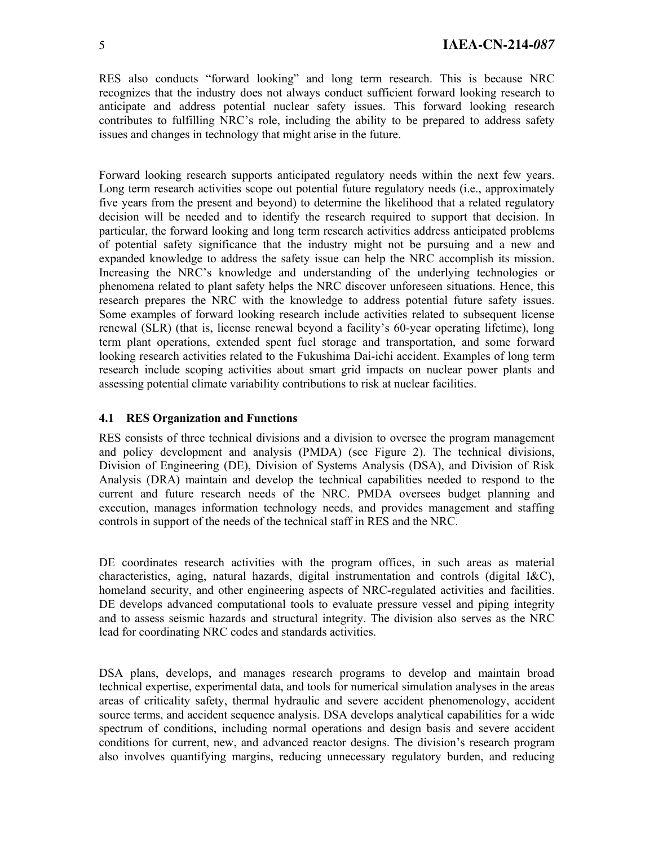RES also conducts "forward looking" and long term research. This is because NRC recognizes that the industry does not always conduct sufficient forward looking research to anticipate and address potential nuclear safety issues. This forward looking research contributes to fulfilling NRC's role, including the ability to be prepared to address safety issues and changes in technology that might arise in the future.

Forward looking research supports anticipated regulatory needs within the next few years. Long term research activities scope out potential future regulatory needs (i.e., approximately five years from the present and beyond) to determine the likelihood that a related regulatory decision will be needed and to identify the research required to support that decision. In particular, the forward looking and long term research activities address anticipated problems of potential safety significance that the industry might not be pursuing and a new and expanded knowledge to address the safety issue can help the NRC accomplish its mission. Increasing the NRC's knowledge and understanding of the underlying technologies or phenomena related to plant safety helps the NRC discover unforeseen situations. Hence, this research prepares the NRC with the knowledge to address potential future safety issues. Some examples of forward looking research include activities related to subsequent license renewal (SLR) (that is, license renewal beyond a facility's 60-year operating lifetime), long term plant operations, extended spent fuel storage and transportation, and some forward looking research activities related to the Fukushima Dai-ichi accident. Examples of long term research include scoping activities about smart grid impacts on nuclear power plants and assessing potential climate variability contributions to risk at nuclear facilities.

## **4.1 RES Organization and Functions**

RES consists of three technical divisions and a division to oversee the program management and policy development and analysis (PMDA) (see Figure 2). The technical divisions, Division of Engineering (DE), Division of Systems Analysis (DSA), and Division of Risk Analysis (DRA) maintain and develop the technical capabilities needed to respond to the current and future research needs of the NRC. PMDA oversees budget planning and execution, manages information technology needs, and provides management and staffing controls in support of the needs of the technical staff in RES and the NRC.

DE coordinates research activities with the program offices, in such areas as material characteristics, aging, natural hazards, digital instrumentation and controls (digital I&C), homeland security, and other engineering aspects of NRC-regulated activities and facilities. DE develops advanced computational tools to evaluate pressure vessel and piping integrity and to assess seismic hazards and structural integrity. The division also serves as the NRC lead for coordinating NRC codes and standards activities.

DSA plans, develops, and manages research programs to develop and maintain broad technical expertise, experimental data, and tools for numerical simulation analyses in the areas areas of criticality safety, thermal hydraulic and severe accident phenomenology, accident source terms, and accident sequence analysis. DSA develops analytical capabilities for a wide spectrum of conditions, including normal operations and design basis and severe accident conditions for current, new, and advanced reactor designs. The division's research program also involves quantifying margins, reducing unnecessary regulatory burden, and reducing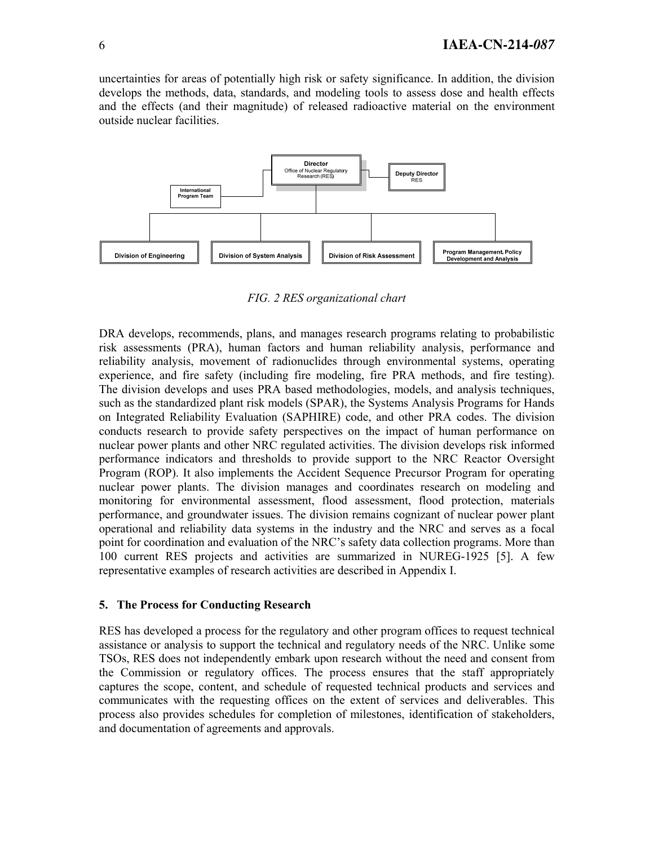uncertainties for areas of potentially high risk or safety significance. In addition, the division develops the methods, data, standards, and modeling tools to assess dose and health effects and the effects (and their magnitude) of released radioactive material on the environment outside nuclear facilities.



*FIG. 2 RES organizational chart* 

DRA develops, recommends, plans, and manages research programs relating to probabilistic risk assessments (PRA), human factors and human reliability analysis, performance and reliability analysis, movement of radionuclides through environmental systems, operating experience, and fire safety (including fire modeling, fire PRA methods, and fire testing). The division develops and uses PRA based methodologies, models, and analysis techniques, such as the standardized plant risk models (SPAR), the Systems Analysis Programs for Hands on Integrated Reliability Evaluation (SAPHIRE) code, and other PRA codes. The division conducts research to provide safety perspectives on the impact of human performance on nuclear power plants and other NRC regulated activities. The division develops risk informed performance indicators and thresholds to provide support to the NRC Reactor Oversight Program (ROP). It also implements the Accident Sequence Precursor Program for operating nuclear power plants. The division manages and coordinates research on modeling and monitoring for environmental assessment, flood assessment, flood protection, materials performance, and groundwater issues. The division remains cognizant of nuclear power plant operational and reliability data systems in the industry and the NRC and serves as a focal point for coordination and evaluation of the NRC's safety data collection programs. More than 100 current RES projects and activities are summarized in NUREG-1925 [5]. A few representative examples of research activities are described in Appendix I.

### **5. The Process for Conducting Research**

RES has developed a process for the regulatory and other program offices to request technical assistance or analysis to support the technical and regulatory needs of the NRC. Unlike some TSOs, RES does not independently embark upon research without the need and consent from the Commission or regulatory offices. The process ensures that the staff appropriately captures the scope, content, and schedule of requested technical products and services and communicates with the requesting offices on the extent of services and deliverables. This process also provides schedules for completion of milestones, identification of stakeholders, and documentation of agreements and approvals.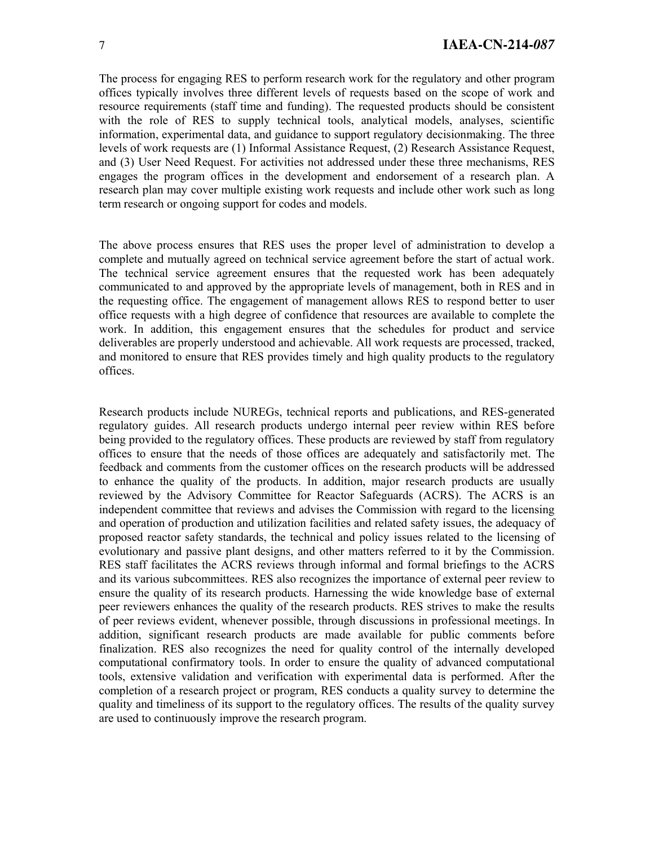The process for engaging RES to perform research work for the regulatory and other program offices typically involves three different levels of requests based on the scope of work and resource requirements (staff time and funding). The requested products should be consistent with the role of RES to supply technical tools, analytical models, analyses, scientific information, experimental data, and guidance to support regulatory decisionmaking. The three levels of work requests are (1) Informal Assistance Request, (2) Research Assistance Request, and (3) User Need Request. For activities not addressed under these three mechanisms, RES engages the program offices in the development and endorsement of a research plan. A research plan may cover multiple existing work requests and include other work such as long term research or ongoing support for codes and models.

The above process ensures that RES uses the proper level of administration to develop a complete and mutually agreed on technical service agreement before the start of actual work. The technical service agreement ensures that the requested work has been adequately communicated to and approved by the appropriate levels of management, both in RES and in the requesting office. The engagement of management allows RES to respond better to user office requests with a high degree of confidence that resources are available to complete the work. In addition, this engagement ensures that the schedules for product and service deliverables are properly understood and achievable. All work requests are processed, tracked, and monitored to ensure that RES provides timely and high quality products to the regulatory offices.

Research products include NUREGs, technical reports and publications, and RES-generated regulatory guides. All research products undergo internal peer review within RES before being provided to the regulatory offices. These products are reviewed by staff from regulatory offices to ensure that the needs of those offices are adequately and satisfactorily met. The feedback and comments from the customer offices on the research products will be addressed to enhance the quality of the products. In addition, major research products are usually reviewed by the Advisory Committee for Reactor Safeguards (ACRS). The ACRS is an independent committee that reviews and advises the Commission with regard to the licensing and operation of production and utilization facilities and related safety issues, the adequacy of proposed reactor safety standards, the technical and policy issues related to the licensing of evolutionary and passive plant designs, and other matters referred to it by the Commission. RES staff facilitates the ACRS reviews through informal and formal briefings to the ACRS and its various subcommittees. RES also recognizes the importance of external peer review to ensure the quality of its research products. Harnessing the wide knowledge base of external peer reviewers enhances the quality of the research products. RES strives to make the results of peer reviews evident, whenever possible, through discussions in professional meetings. In addition, significant research products are made available for public comments before finalization. RES also recognizes the need for quality control of the internally developed computational confirmatory tools. In order to ensure the quality of advanced computational tools, extensive validation and verification with experimental data is performed. After the completion of a research project or program, RES conducts a quality survey to determine the quality and timeliness of its support to the regulatory offices. The results of the quality survey are used to continuously improve the research program.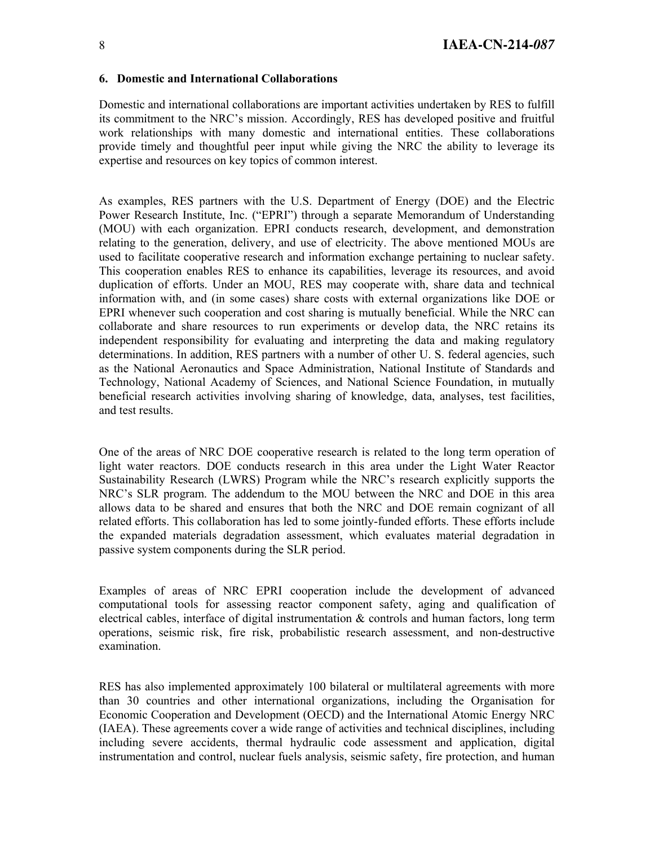### **6. Domestic and International Collaborations**

Domestic and international collaborations are important activities undertaken by RES to fulfill its commitment to the NRC's mission. Accordingly, RES has developed positive and fruitful work relationships with many domestic and international entities. These collaborations provide timely and thoughtful peer input while giving the NRC the ability to leverage its expertise and resources on key topics of common interest.

As examples, RES partners with the U.S. Department of Energy (DOE) and the Electric Power Research Institute, Inc. ("EPRI") through a separate Memorandum of Understanding (MOU) with each organization. EPRI conducts research, development, and demonstration relating to the generation, delivery, and use of electricity. The above mentioned MOUs are used to facilitate cooperative research and information exchange pertaining to nuclear safety. This cooperation enables RES to enhance its capabilities, leverage its resources, and avoid duplication of efforts. Under an MOU, RES may cooperate with, share data and technical information with, and (in some cases) share costs with external organizations like DOE or EPRI whenever such cooperation and cost sharing is mutually beneficial. While the NRC can collaborate and share resources to run experiments or develop data, the NRC retains its independent responsibility for evaluating and interpreting the data and making regulatory determinations. In addition, RES partners with a number of other U. S. federal agencies, such as the National Aeronautics and Space Administration, National Institute of Standards and Technology, National Academy of Sciences, and National Science Foundation, in mutually beneficial research activities involving sharing of knowledge, data, analyses, test facilities, and test results.

One of the areas of NRC DOE cooperative research is related to the long term operation of light water reactors. DOE conducts research in this area under the Light Water Reactor Sustainability Research (LWRS) Program while the NRC's research explicitly supports the NRC's SLR program. The addendum to the MOU between the NRC and DOE in this area allows data to be shared and ensures that both the NRC and DOE remain cognizant of all related efforts. This collaboration has led to some jointly-funded efforts. These efforts include the expanded materials degradation assessment, which evaluates material degradation in passive system components during the SLR period.

Examples of areas of NRC EPRI cooperation include the development of advanced computational tools for assessing reactor component safety, aging and qualification of electrical cables, interface of digital instrumentation & controls and human factors, long term operations, seismic risk, fire risk, probabilistic research assessment, and non-destructive examination.

RES has also implemented approximately 100 bilateral or multilateral agreements with more than 30 countries and other international organizations, including the Organisation for Economic Cooperation and Development (OECD) and the International Atomic Energy NRC (IAEA). These agreements cover a wide range of activities and technical disciplines, including including severe accidents, thermal hydraulic code assessment and application, digital instrumentation and control, nuclear fuels analysis, seismic safety, fire protection, and human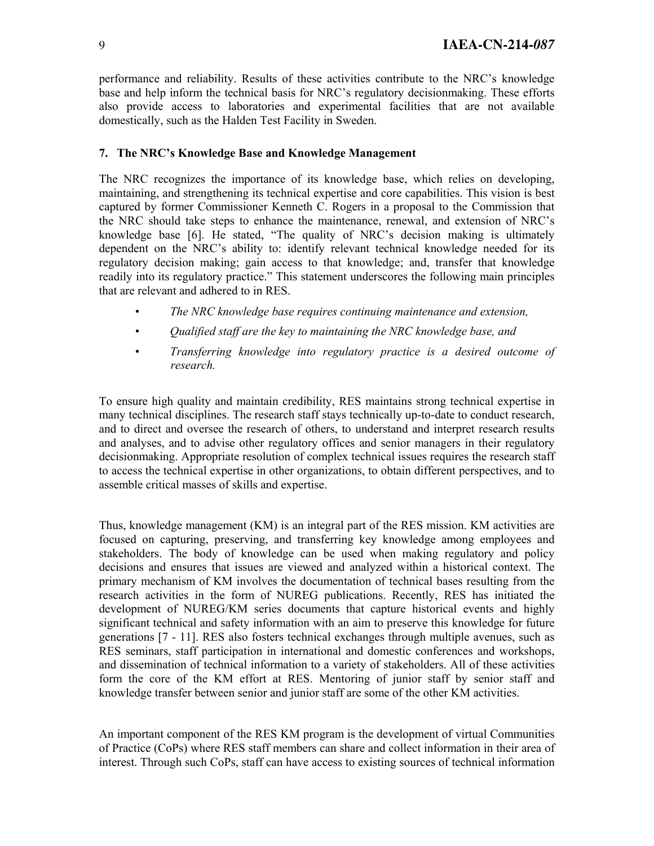performance and reliability. Results of these activities contribute to the NRC's knowledge base and help inform the technical basis for NRC's regulatory decisionmaking. These efforts also provide access to laboratories and experimental facilities that are not available domestically, such as the Halden Test Facility in Sweden.

## **7. The NRC's Knowledge Base and Knowledge Management**

The NRC recognizes the importance of its knowledge base, which relies on developing, maintaining, and strengthening its technical expertise and core capabilities. This vision is best captured by former Commissioner Kenneth C. Rogers in a proposal to the Commission that the NRC should take steps to enhance the maintenance, renewal, and extension of NRC's knowledge base [6]. He stated, "The quality of NRC's decision making is ultimately dependent on the NRC's ability to: identify relevant technical knowledge needed for its regulatory decision making; gain access to that knowledge; and, transfer that knowledge readily into its regulatory practice." This statement underscores the following main principles that are relevant and adhered to in RES.

- *The NRC knowledge base requires continuing maintenance and extension,*
- *Qualified staff are the key to maintaining the NRC knowledge base, and*
- *Transferring knowledge into regulatory practice is a desired outcome of research.*

To ensure high quality and maintain credibility, RES maintains strong technical expertise in many technical disciplines. The research staff stays technically up-to-date to conduct research, and to direct and oversee the research of others, to understand and interpret research results and analyses, and to advise other regulatory offices and senior managers in their regulatory decisionmaking. Appropriate resolution of complex technical issues requires the research staff to access the technical expertise in other organizations, to obtain different perspectives, and to assemble critical masses of skills and expertise.

Thus, knowledge management (KM) is an integral part of the RES mission. KM activities are focused on capturing, preserving, and transferring key knowledge among employees and stakeholders. The body of knowledge can be used when making regulatory and policy decisions and ensures that issues are viewed and analyzed within a historical context. The primary mechanism of KM involves the documentation of technical bases resulting from the research activities in the form of NUREG publications. Recently, RES has initiated the development of NUREG/KM series documents that capture historical events and highly significant technical and safety information with an aim to preserve this knowledge for future generations [7 - 11]. RES also fosters technical exchanges through multiple avenues, such as RES seminars, staff participation in international and domestic conferences and workshops, and dissemination of technical information to a variety of stakeholders. All of these activities form the core of the KM effort at RES. Mentoring of junior staff by senior staff and knowledge transfer between senior and junior staff are some of the other KM activities.

An important component of the RES KM program is the development of virtual Communities of Practice (CoPs) where RES staff members can share and collect information in their area of interest. Through such CoPs, staff can have access to existing sources of technical information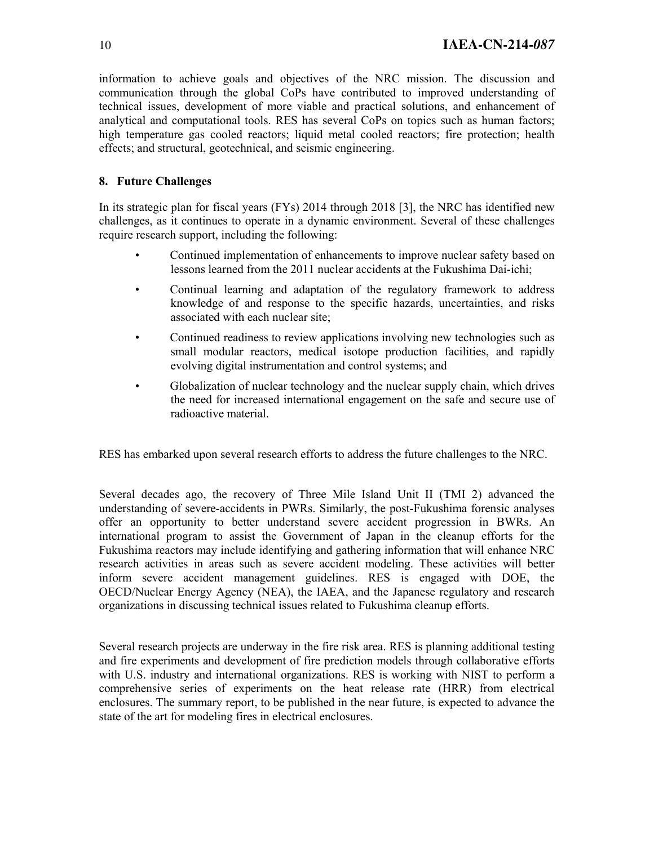information to achieve goals and objectives of the NRC mission. The discussion and communication through the global CoPs have contributed to improved understanding of technical issues, development of more viable and practical solutions, and enhancement of analytical and computational tools. RES has several CoPs on topics such as human factors; high temperature gas cooled reactors; liquid metal cooled reactors; fire protection; health effects; and structural, geotechnical, and seismic engineering.

## **8. Future Challenges**

In its strategic plan for fiscal years (FYs) 2014 through 2018 [3], the NRC has identified new challenges, as it continues to operate in a dynamic environment. Several of these challenges require research support, including the following:

- Continued implementation of enhancements to improve nuclear safety based on lessons learned from the 2011 nuclear accidents at the Fukushima Dai-ichi;
- Continual learning and adaptation of the regulatory framework to address knowledge of and response to the specific hazards, uncertainties, and risks associated with each nuclear site;
- Continued readiness to review applications involving new technologies such as small modular reactors, medical isotope production facilities, and rapidly evolving digital instrumentation and control systems; and
- Globalization of nuclear technology and the nuclear supply chain, which drives the need for increased international engagement on the safe and secure use of radioactive material.

RES has embarked upon several research efforts to address the future challenges to the NRC.

Several decades ago, the recovery of Three Mile Island Unit II (TMI 2) advanced the understanding of severe-accidents in PWRs. Similarly, the post-Fukushima forensic analyses offer an opportunity to better understand severe accident progression in BWRs. An international program to assist the Government of Japan in the cleanup efforts for the Fukushima reactors may include identifying and gathering information that will enhance NRC research activities in areas such as severe accident modeling. These activities will better inform severe accident management guidelines. RES is engaged with DOE, the OECD/Nuclear Energy Agency (NEA), the IAEA, and the Japanese regulatory and research organizations in discussing technical issues related to Fukushima cleanup efforts.

Several research projects are underway in the fire risk area. RES is planning additional testing and fire experiments and development of fire prediction models through collaborative efforts with U.S. industry and international organizations. RES is working with NIST to perform a comprehensive series of experiments on the heat release rate (HRR) from electrical enclosures. The summary report, to be published in the near future, is expected to advance the state of the art for modeling fires in electrical enclosures.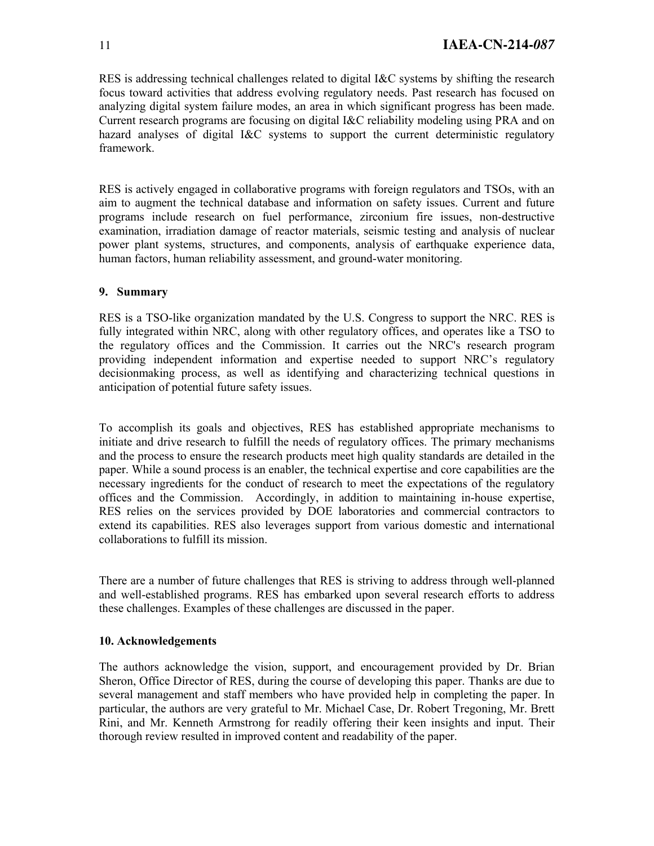RES is addressing technical challenges related to digital I&C systems by shifting the research focus toward activities that address evolving regulatory needs. Past research has focused on analyzing digital system failure modes, an area in which significant progress has been made. Current research programs are focusing on digital I&C reliability modeling using PRA and on hazard analyses of digital I&C systems to support the current deterministic regulatory framework.

RES is actively engaged in collaborative programs with foreign regulators and TSOs, with an aim to augment the technical database and information on safety issues. Current and future programs include research on fuel performance, zirconium fire issues, non-destructive examination, irradiation damage of reactor materials, seismic testing and analysis of nuclear power plant systems, structures, and components, analysis of earthquake experience data, human factors, human reliability assessment, and ground-water monitoring.

## **9. Summary**

RES is a TSO-like organization mandated by the U.S. Congress to support the NRC. RES is fully integrated within NRC, along with other regulatory offices, and operates like a TSO to the regulatory offices and the Commission. It carries out the NRC's research program providing independent information and expertise needed to support NRC's regulatory decisionmaking process, as well as identifying and characterizing technical questions in anticipation of potential future safety issues.

To accomplish its goals and objectives, RES has established appropriate mechanisms to initiate and drive research to fulfill the needs of regulatory offices. The primary mechanisms and the process to ensure the research products meet high quality standards are detailed in the paper. While a sound process is an enabler, the technical expertise and core capabilities are the necessary ingredients for the conduct of research to meet the expectations of the regulatory offices and the Commission. Accordingly, in addition to maintaining in-house expertise, RES relies on the services provided by DOE laboratories and commercial contractors to extend its capabilities. RES also leverages support from various domestic and international collaborations to fulfill its mission.

There are a number of future challenges that RES is striving to address through well-planned and well-established programs. RES has embarked upon several research efforts to address these challenges. Examples of these challenges are discussed in the paper.

## **10. Acknowledgements**

The authors acknowledge the vision, support, and encouragement provided by Dr. Brian Sheron, Office Director of RES, during the course of developing this paper. Thanks are due to several management and staff members who have provided help in completing the paper. In particular, the authors are very grateful to Mr. Michael Case, Dr. Robert Tregoning, Mr. Brett Rini, and Mr. Kenneth Armstrong for readily offering their keen insights and input. Their thorough review resulted in improved content and readability of the paper.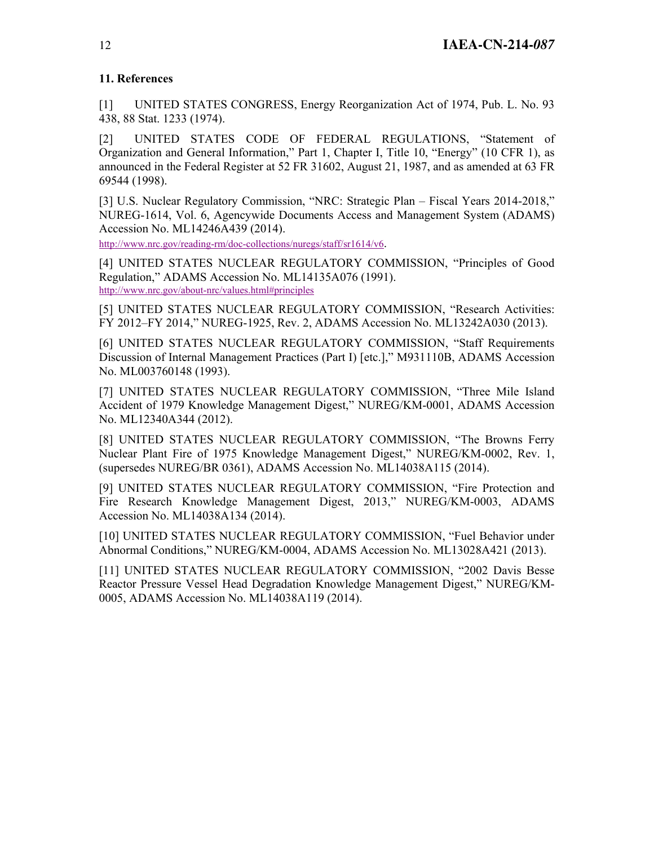## **11. References**

[1] UNITED STATES CONGRESS, Energy Reorganization Act of 1974, Pub. L. No. 93 438, 88 Stat. 1233 (1974).

[2] UNITED STATES CODE OF FEDERAL REGULATIONS, "Statement of Organization and General Information," Part 1, Chapter I, Title 10, "Energy" (10 CFR 1), as announced in the Federal Register at 52 FR 31602, August 21, 1987, and as amended at 63 FR 69544 (1998).

[3] U.S. Nuclear Regulatory Commission, "NRC: Strategic Plan – Fiscal Years 2014-2018," NUREG-1614, Vol. 6, Agencywide Documents Access and Management System (ADAMS) Accession No. ML14246A439 (2014).

http://www.nrc.gov/reading-rm/doc-collections/nuregs/staff/sr1614/v6.

[4] UNITED STATES NUCLEAR REGULATORY COMMISSION, "Principles of Good Regulation," ADAMS Accession No. ML14135A076 (1991). http://www.nrc.gov/about-nrc/values.html#principles

[5] UNITED STATES NUCLEAR REGULATORY COMMISSION, "Research Activities: FY 2012–FY 2014," NUREG-1925, Rev. 2, ADAMS Accession No. ML13242A030 (2013).

[6] UNITED STATES NUCLEAR REGULATORY COMMISSION, "Staff Requirements Discussion of Internal Management Practices (Part I) [etc.]," M931110B, ADAMS Accession No. ML003760148 (1993).

[7] UNITED STATES NUCLEAR REGULATORY COMMISSION, "Three Mile Island Accident of 1979 Knowledge Management Digest," NUREG/KM-0001, ADAMS Accession No. ML12340A344 (2012).

[8] UNITED STATES NUCLEAR REGULATORY COMMISSION, "The Browns Ferry Nuclear Plant Fire of 1975 Knowledge Management Digest," NUREG/KM-0002, Rev. 1, (supersedes NUREG/BR 0361), ADAMS Accession No. ML14038A115 (2014).

[9] UNITED STATES NUCLEAR REGULATORY COMMISSION, "Fire Protection and Fire Research Knowledge Management Digest, 2013," NUREG/KM-0003, ADAMS Accession No. ML14038A134 (2014).

[10] UNITED STATES NUCLEAR REGULATORY COMMISSION, "Fuel Behavior under Abnormal Conditions," NUREG/KM-0004, ADAMS Accession No. ML13028A421 (2013).

[11] UNITED STATES NUCLEAR REGULATORY COMMISSION, "2002 Davis Besse Reactor Pressure Vessel Head Degradation Knowledge Management Digest," NUREG/KM-0005, ADAMS Accession No. ML14038A119 (2014).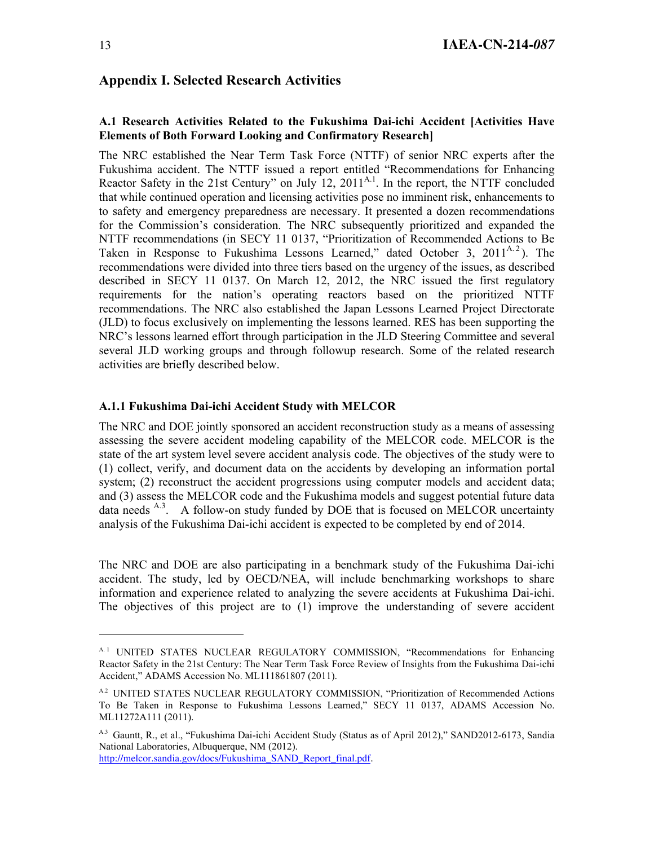## **Appendix I. Selected Research Activities**

## **A.1 Research Activities Related to the Fukushima Dai-ichi Accident [Activities Have Elements of Both Forward Looking and Confirmatory Research]**

The NRC established the Near Term Task Force (NTTF) of senior NRC experts after the Fukushima accident. The NTTF issued a report entitled "Recommendations for Enhancing Reactor Safety in the 21st Century" on July 12, 2011<sup>A.1</sup>. In the report, the NTTF concluded that while continued operation and licensing activities pose no imminent risk, enhancements to to safety and emergency preparedness are necessary. It presented a dozen recommendations for the Commission's consideration. The NRC subsequently prioritized and expanded the NTTF recommendations (in SECY 11 0137, "Prioritization of Recommended Actions to Be Taken in Response to Fukushima Lessons Learned," dated October 3,  $2011^{A.2}$ ). The recommendations were divided into three tiers based on the urgency of the issues, as described described in SECY 11 0137. On March 12, 2012, the NRC issued the first regulatory requirements for the nation's operating reactors based on the prioritized NTTF recommendations. The NRC also established the Japan Lessons Learned Project Directorate (JLD) to focus exclusively on implementing the lessons learned. RES has been supporting the NRC's lessons learned effort through participation in the JLD Steering Committee and several several JLD working groups and through followup research. Some of the related research activities are briefly described below.

## **A.1.1 Fukushima Dai-ichi Accident Study with MELCOR**

The NRC and DOE jointly sponsored an accident reconstruction study as a means of assessing assessing the severe accident modeling capability of the MELCOR code. MELCOR is the state of the art system level severe accident analysis code. The objectives of the study were to (1) collect, verify, and document data on the accidents by developing an information portal system; (2) reconstruct the accident progressions using computer models and accident data; and (3) assess the MELCOR code and the Fukushima models and suggest potential future data data needs <sup>A.3</sup>. A follow-on study funded by DOE that is focused on MELCOR uncertainty analysis of the Fukushima Dai-ichi accident is expected to be completed by end of 2014.

The NRC and DOE are also participating in a benchmark study of the Fukushima Dai-ichi accident. The study, led by OECD/NEA, will include benchmarking workshops to share information and experience related to analyzing the severe accidents at Fukushima Dai-ichi. The objectives of this project are to (1) improve the understanding of severe accident

http://melcor.sandia.gov/docs/Fukushima\_SAND\_Report\_final.pdf.

l

A.1 UNITED STATES NUCLEAR REGULATORY COMMISSION, "Recommendations for Enhancing Reactor Safety in the 21st Century: The Near Term Task Force Review of Insights from the Fukushima Dai-ichi Accident," ADAMS Accession No. ML111861807 (2011).

A.2 UNITED STATES NUCLEAR REGULATORY COMMISSION, "Prioritization of Recommended Actions To Be Taken in Response to Fukushima Lessons Learned," SECY 11 0137, ADAMS Accession No. ML11272A111 (2011).

A.3 Gauntt, R., et al., "Fukushima Dai-ichi Accident Study (Status as of April 2012)," SAND2012-6173, Sandia National Laboratories, Albuquerque, NM (2012).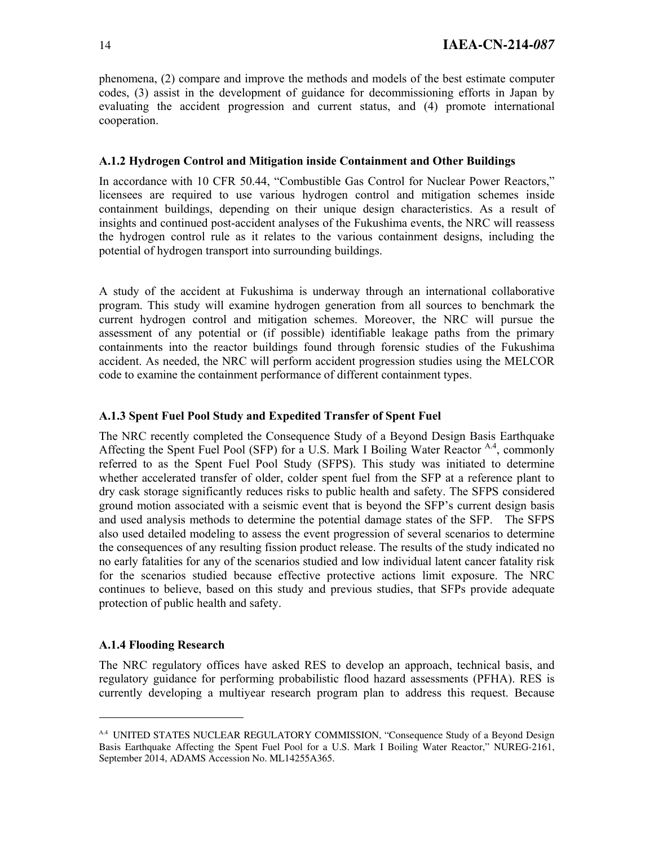phenomena, (2) compare and improve the methods and models of the best estimate computer codes, (3) assist in the development of guidance for decommissioning efforts in Japan by evaluating the accident progression and current status, and (4) promote international cooperation.

## **A.1.2 Hydrogen Control and Mitigation inside Containment and Other Buildings**

In accordance with 10 CFR 50.44, "Combustible Gas Control for Nuclear Power Reactors," licensees are required to use various hydrogen control and mitigation schemes inside containment buildings, depending on their unique design characteristics. As a result of insights and continued post-accident analyses of the Fukushima events, the NRC will reassess the hydrogen control rule as it relates to the various containment designs, including the potential of hydrogen transport into surrounding buildings.

A study of the accident at Fukushima is underway through an international collaborative program. This study will examine hydrogen generation from all sources to benchmark the current hydrogen control and mitigation schemes. Moreover, the NRC will pursue the assessment of any potential or (if possible) identifiable leakage paths from the primary containments into the reactor buildings found through forensic studies of the Fukushima accident. As needed, the NRC will perform accident progression studies using the MELCOR code to examine the containment performance of different containment types.

### **A.1.3 Spent Fuel Pool Study and Expedited Transfer of Spent Fuel**

The NRC recently completed the Consequence Study of a Beyond Design Basis Earthquake Affecting the Spent Fuel Pool (SFP) for a U.S. Mark I Boiling Water Reactor  $A<sup>A</sup>$ , commonly referred to as the Spent Fuel Pool Study (SFPS). This study was initiated to determine whether accelerated transfer of older, colder spent fuel from the SFP at a reference plant to dry cask storage significantly reduces risks to public health and safety. The SFPS considered ground motion associated with a seismic event that is beyond the SFP's current design basis and used analysis methods to determine the potential damage states of the SFP. The SFPS also used detailed modeling to assess the event progression of several scenarios to determine the consequences of any resulting fission product release. The results of the study indicated no no early fatalities for any of the scenarios studied and low individual latent cancer fatality risk for the scenarios studied because effective protective actions limit exposure. The NRC continues to believe, based on this study and previous studies, that SFPs provide adequate protection of public health and safety.

### **A.1.4 Flooding Research**

l

The NRC regulatory offices have asked RES to develop an approach, technical basis, and regulatory guidance for performing probabilistic flood hazard assessments (PFHA). RES is currently developing a multiyear research program plan to address this request. Because

<sup>&</sup>lt;sup>A.4</sup> UNITED STATES NUCLEAR REGULATORY COMMISSION, "Consequence Study of a Beyond Design Basis Earthquake Affecting the Spent Fuel Pool for a U.S. Mark I Boiling Water Reactor," NUREG-2161, September 2014, ADAMS Accession No. ML14255A365.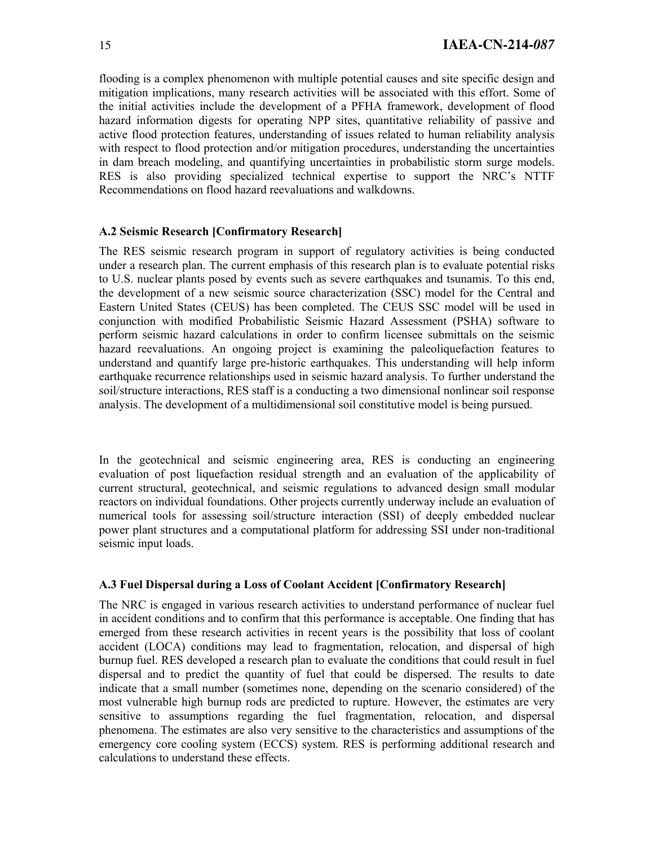flooding is a complex phenomenon with multiple potential causes and site specific design and mitigation implications, many research activities will be associated with this effort. Some of the initial activities include the development of a PFHA framework, development of flood hazard information digests for operating NPP sites, quantitative reliability of passive and active flood protection features, understanding of issues related to human reliability analysis with respect to flood protection and/or mitigation procedures, understanding the uncertainties in dam breach modeling, and quantifying uncertainties in probabilistic storm surge models. RES is also providing specialized technical expertise to support the NRC's NTTF Recommendations on flood hazard reevaluations and walkdowns.

### **A.2 Seismic Research [Confirmatory Research]**

The RES seismic research program in support of regulatory activities is being conducted under a research plan. The current emphasis of this research plan is to evaluate potential risks to U.S. nuclear plants posed by events such as severe earthquakes and tsunamis. To this end, the development of a new seismic source characterization (SSC) model for the Central and Eastern United States (CEUS) has been completed. The CEUS SSC model will be used in conjunction with modified Probabilistic Seismic Hazard Assessment (PSHA) software to perform seismic hazard calculations in order to confirm licensee submittals on the seismic hazard reevaluations. An ongoing project is examining the paleoliquefaction features to understand and quantify large pre-historic earthquakes. This understanding will help inform earthquake recurrence relationships used in seismic hazard analysis. To further understand the soil/structure interactions, RES staff is a conducting a two dimensional nonlinear soil response analysis. The development of a multidimensional soil constitutive model is being pursued.

In the geotechnical and seismic engineering area, RES is conducting an engineering evaluation of post liquefaction residual strength and an evaluation of the applicability of current structural, geotechnical, and seismic regulations to advanced design small modular reactors on individual foundations. Other projects currently underway include an evaluation of numerical tools for assessing soil/structure interaction (SSI) of deeply embedded nuclear power plant structures and a computational platform for addressing SSI under non-traditional seismic input loads.

### **A.3 Fuel Dispersal during a Loss of Coolant Accident [Confirmatory Research]**

The NRC is engaged in various research activities to understand performance of nuclear fuel in accident conditions and to confirm that this performance is acceptable. One finding that has emerged from these research activities in recent years is the possibility that loss of coolant accident (LOCA) conditions may lead to fragmentation, relocation, and dispersal of high burnup fuel. RES developed a research plan to evaluate the conditions that could result in fuel dispersal and to predict the quantity of fuel that could be dispersed. The results to date indicate that a small number (sometimes none, depending on the scenario considered) of the most vulnerable high burnup rods are predicted to rupture. However, the estimates are very sensitive to assumptions regarding the fuel fragmentation, relocation, and dispersal phenomena. The estimates are also very sensitive to the characteristics and assumptions of the emergency core cooling system (ECCS) system. RES is performing additional research and calculations to understand these effects.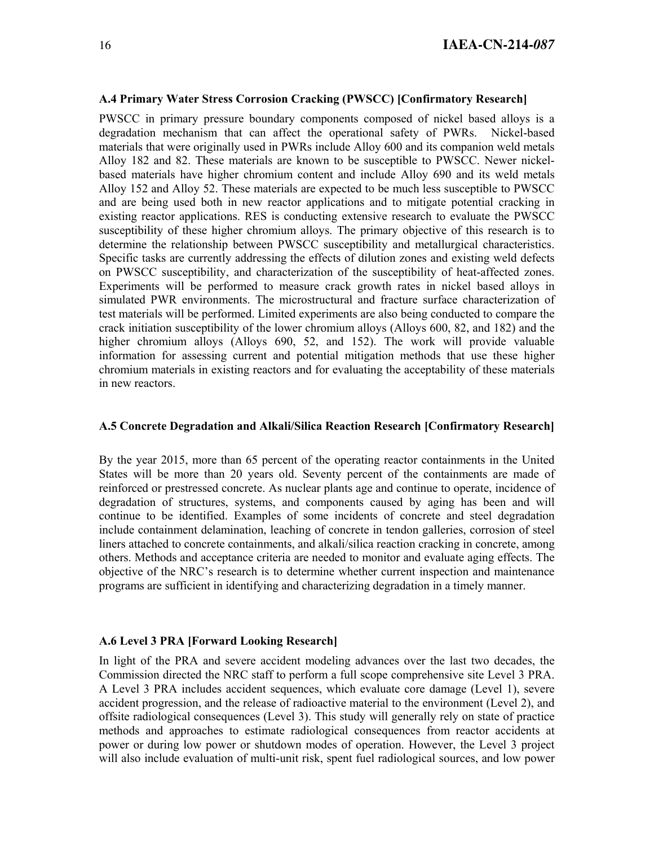#### **A.4 Primary Water Stress Corrosion Cracking (PWSCC) [Confirmatory Research]**

PWSCC in primary pressure boundary components composed of nickel based alloys is a degradation mechanism that can affect the operational safety of PWRs. Nickel-based materials that were originally used in PWRs include Alloy 600 and its companion weld metals Alloy 182 and 82. These materials are known to be susceptible to PWSCC. Newer nickelbased materials have higher chromium content and include Alloy 690 and its weld metals Alloy 152 and Alloy 52. These materials are expected to be much less susceptible to PWSCC and are being used both in new reactor applications and to mitigate potential cracking in existing reactor applications. RES is conducting extensive research to evaluate the PWSCC susceptibility of these higher chromium alloys. The primary objective of this research is to determine the relationship between PWSCC susceptibility and metallurgical characteristics. Specific tasks are currently addressing the effects of dilution zones and existing weld defects on PWSCC susceptibility, and characterization of the susceptibility of heat-affected zones. Experiments will be performed to measure crack growth rates in nickel based alloys in simulated PWR environments. The microstructural and fracture surface characterization of test materials will be performed. Limited experiments are also being conducted to compare the crack initiation susceptibility of the lower chromium alloys (Alloys 600, 82, and 182) and the higher chromium alloys (Alloys 690, 52, and 152). The work will provide valuable information for assessing current and potential mitigation methods that use these higher chromium materials in existing reactors and for evaluating the acceptability of these materials in new reactors.

### **A.5 Concrete Degradation and Alkali/Silica Reaction Research [Confirmatory Research]**

By the year 2015, more than 65 percent of the operating reactor containments in the United States will be more than 20 years old. Seventy percent of the containments are made of reinforced or prestressed concrete. As nuclear plants age and continue to operate, incidence of degradation of structures, systems, and components caused by aging has been and will continue to be identified. Examples of some incidents of concrete and steel degradation include containment delamination, leaching of concrete in tendon galleries, corrosion of steel liners attached to concrete containments, and alkali/silica reaction cracking in concrete, among others. Methods and acceptance criteria are needed to monitor and evaluate aging effects. The objective of the NRC's research is to determine whether current inspection and maintenance programs are sufficient in identifying and characterizing degradation in a timely manner.

#### **A.6 Level 3 PRA [Forward Looking Research]**

In light of the PRA and severe accident modeling advances over the last two decades, the Commission directed the NRC staff to perform a full scope comprehensive site Level 3 PRA. A Level 3 PRA includes accident sequences, which evaluate core damage (Level 1), severe accident progression, and the release of radioactive material to the environment (Level 2), and offsite radiological consequences (Level 3). This study will generally rely on state of practice methods and approaches to estimate radiological consequences from reactor accidents at power or during low power or shutdown modes of operation. However, the Level 3 project will also include evaluation of multi-unit risk, spent fuel radiological sources, and low power